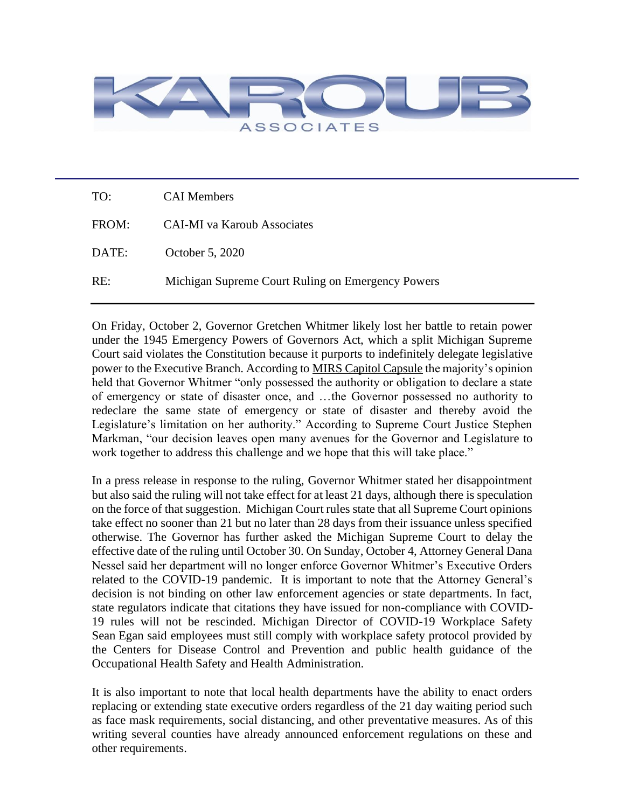

| TO:   | CAI Members                                       |
|-------|---------------------------------------------------|
| FROM: | CALMI va Karoub Associates                        |
| DATE: | October 5, 2020                                   |
| RE:   | Michigan Supreme Court Ruling on Emergency Powers |

On Friday, October 2, Governor Gretchen Whitmer likely lost her battle to retain power under the 1945 Emergency Powers of Governors Act, which a split Michigan Supreme Court said violates the Constitution because it purports to indefinitely delegate legislative power to the Executive Branch. According to MIRS Capitol Capsule the majority's opinion held that Governor Whitmer "only possessed the authority or obligation to declare a state of emergency or state of disaster once, and …the Governor possessed no authority to redeclare the same state of emergency or state of disaster and thereby avoid the Legislature's limitation on her authority." According to Supreme Court Justice Stephen Markman, "our decision leaves open many avenues for the Governor and Legislature to work together to address this challenge and we hope that this will take place."

In a press release in response to the ruling, Governor Whitmer stated her disappointment but also said the ruling will not take effect for at least 21 days, although there is speculation on the force of that suggestion. Michigan Court rules state that all Supreme Court opinions take effect no sooner than 21 but no later than 28 days from their issuance unless specified otherwise. The Governor has further asked the Michigan Supreme Court to delay the effective date of the ruling until October 30. On Sunday, October 4, Attorney General Dana Nessel said her department will no longer enforce Governor Whitmer's Executive Orders related to the COVID-19 pandemic. It is important to note that the Attorney General's decision is not binding on other law enforcement agencies or state departments. In fact, state regulators indicate that citations they have issued for non-compliance with COVID-19 rules will not be rescinded. Michigan Director of COVID-19 Workplace Safety Sean Egan said employees must still comply with workplace safety protocol provided by the Centers for Disease Control and Prevention and public health guidance of the Occupational Health Safety and Health Administration.

It is also important to note that local health departments have the ability to enact orders replacing or extending state executive orders regardless of the 21 day waiting period such as face mask requirements, social distancing, and other preventative measures. As of this writing several counties have already announced enforcement regulations on these and other requirements.